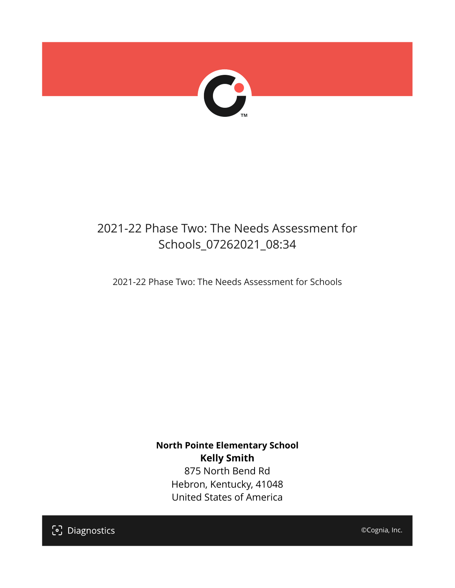

# 2021-22 Phase Two: The Needs Assessment for Schools\_07262021\_08:34

2021-22 Phase Two: The Needs Assessment for Schools

**North Pointe Elementary School Kelly Smith** 875 North Bend Rd Hebron, Kentucky, 41048 United States of America

[၁] Diagnostics

©Cognia, Inc.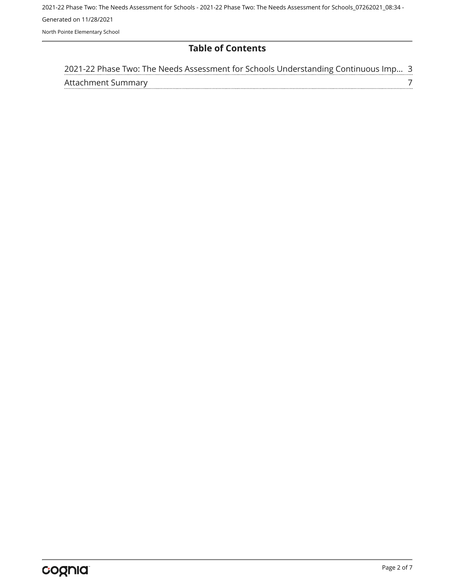2021-22 Phase Two: The Needs Assessment for Schools - 2021-22 Phase Two: The Needs Assessment for Schools\_07262021\_08:34 - Generated on 11/28/2021 North Pointe Elementary School

# **Table of Contents**

| 2021-22 Phase Two: The Needs Assessment for Schools Understanding Continuous Imp 3 |  |
|------------------------------------------------------------------------------------|--|
| Attachment Summary                                                                 |  |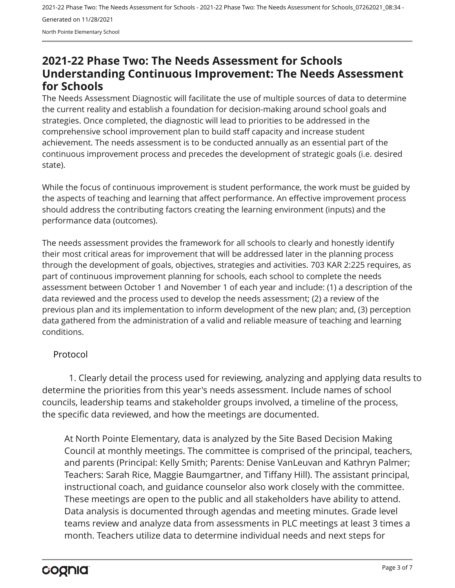2021-22 Phase Two: The Needs Assessment for Schools - 2021-22 Phase Two: The Needs Assessment for Schools\_07262021\_08:34 - Generated on 11/28/2021 North Pointe Elementary School

# <span id="page-2-0"></span>**2021-22 Phase Two: The Needs Assessment for Schools Understanding Continuous Improvement: The Needs Assessment for Schools**

The Needs Assessment Diagnostic will facilitate the use of multiple sources of data to determine the current reality and establish a foundation for decision-making around school goals and strategies. Once completed, the diagnostic will lead to priorities to be addressed in the comprehensive school improvement plan to build staff capacity and increase student achievement. The needs assessment is to be conducted annually as an essential part of the continuous improvement process and precedes the development of strategic goals (i.e. desired state).

While the focus of continuous improvement is student performance, the work must be guided by the aspects of teaching and learning that affect performance. An effective improvement process should address the contributing factors creating the learning environment (inputs) and the performance data (outcomes).

The needs assessment provides the framework for all schools to clearly and honestly identify their most critical areas for improvement that will be addressed later in the planning process through the development of goals, objectives, strategies and activities. 703 KAR 2:225 requires, as part of continuous improvement planning for schools, each school to complete the needs assessment between October 1 and November 1 of each year and include: (1) a description of the data reviewed and the process used to develop the needs assessment; (2) a review of the previous plan and its implementation to inform development of the new plan; and, (3) perception data gathered from the administration of a valid and reliable measure of teaching and learning conditions.

# Protocol

1. Clearly detail the process used for reviewing, analyzing and applying data results to determine the priorities from this year's needs assessment. Include names of school councils, leadership teams and stakeholder groups involved, a timeline of the process, the specific data reviewed, and how the meetings are documented.

At North Pointe Elementary, data is analyzed by the Site Based Decision Making Council at monthly meetings. The committee is comprised of the principal, teachers, and parents (Principal: Kelly Smith; Parents: Denise VanLeuvan and Kathryn Palmer; Teachers: Sarah Rice, Maggie Baumgartner, and Tiffany Hill). The assistant principal, instructional coach, and guidance counselor also work closely with the committee. These meetings are open to the public and all stakeholders have ability to attend. Data analysis is documented through agendas and meeting minutes. Grade level teams review and analyze data from assessments in PLC meetings at least 3 times a month. Teachers utilize data to determine individual needs and next steps for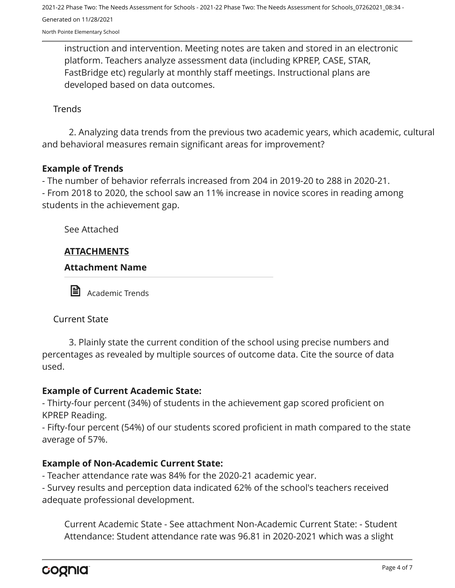North Pointe Elementary School

instruction and intervention. Meeting notes are taken and stored in an electronic platform. Teachers analyze assessment data (including KPREP, CASE, STAR, FastBridge etc) regularly at monthly staff meetings. Instructional plans are developed based on data outcomes.

#### **Trends**

2. Analyzing data trends from the previous two academic years, which academic, cultural and behavioral measures remain significant areas for improvement?

#### **Example of Trends**

- The number of behavior referrals increased from 204 in 2019-20 to 288 in 2020-21.

- From 2018 to 2020, the school saw an 11% increase in novice scores in reading among students in the achievement gap.

See Attached

#### **ATTACHMENTS**

**Attachment Name** 



**Academic Trends** 

Current State

3. Plainly state the current condition of the school using precise numbers and percentages as revealed by multiple sources of outcome data. Cite the source of data used.

#### **Example of Current Academic State:**

- Thirty-four percent (34%) of students in the achievement gap scored proficient on KPREP Reading.

- Fifty-four percent (54%) of our students scored proficient in math compared to the state average of 57%.

#### **Example of Non-Academic Current State:**

- Teacher attendance rate was 84% for the 2020-21 academic year.

- Survey results and perception data indicated 62% of the school's teachers received adequate professional development.

Current Academic State - See attachment Non-Academic Current State: - Student Attendance: Student attendance rate was 96.81 in 2020-2021 which was a slight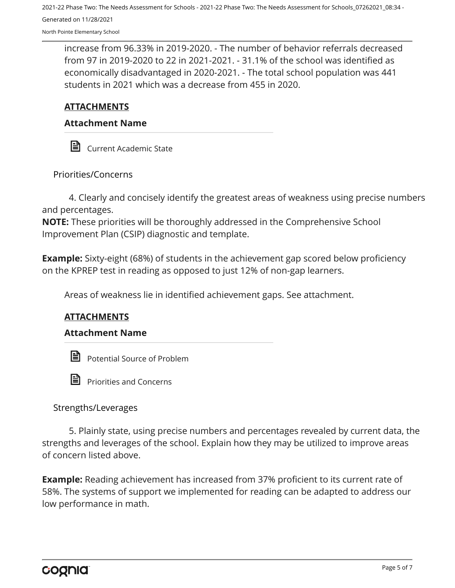North Pointe Elementary School

increase from 96.33% in 2019-2020. - The number of behavior referrals decreased from 97 in 2019-2020 to 22 in 2021-2021. - 31.1% of the school was identified as economically disadvantaged in 2020-2021. - The total school population was 441 students in 2021 which was a decrease from 455 in 2020.

# **ATTACHMENTS**

### **Attachment Name**

**■** Current Academic State

Priorities/Concerns

4. Clearly and concisely identify the greatest areas of weakness using precise numbers and percentages.

**NOTE:** These priorities will be thoroughly addressed in the Comprehensive School Improvement Plan (CSIP) diagnostic and template.

**Example:** Sixty-eight (68%) of students in the achievement gap scored below proficiency on the KPREP test in reading as opposed to just 12% of non-gap learners.

Areas of weakness lie in identified achievement gaps. See attachment.

# **ATTACHMENTS**

#### **Attachment Name**



Potential Source of Problem



Priorities and Concerns

# Strengths/Leverages

5. Plainly state, using precise numbers and percentages revealed by current data, the strengths and leverages of the school. Explain how they may be utilized to improve areas of concern listed above.

**Example:** Reading achievement has increased from 37% proficient to its current rate of 58%. The systems of support we implemented for reading can be adapted to address our low performance in math.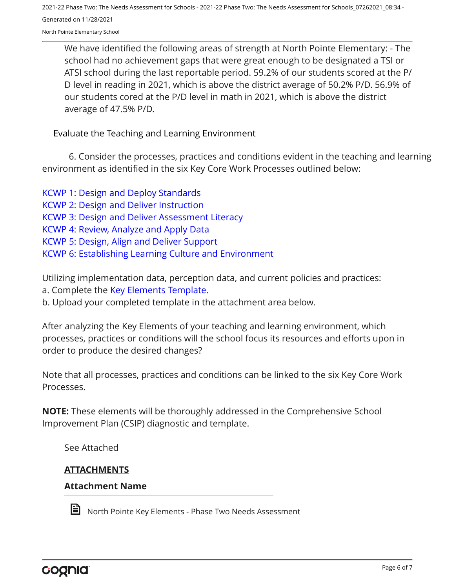North Pointe Elementary School

We have identified the following areas of strength at North Pointe Elementary: - The school had no achievement gaps that were great enough to be designated a TSI or ATSI school during the last reportable period. 59.2% of our students scored at the P/ D level in reading in 2021, which is above the district average of 50.2% P/D. 56.9% of our students cored at the P/D level in math in 2021, which is above the district average of 47.5% P/D.

Evaluate the Teaching and Learning Environment

6. Consider the processes, practices and conditions evident in the teaching and learning environment as identified in the six Key Core Work Processes outlined below:

[KCWP 1: Design and Deploy Standards](https://education.ky.gov/school/csip/Documents/KCWP%201%20Strategic%20Design%20and%20Deploy%20Standards.pdf) [KCWP 2: Design and Deliver Instruction](https://education.ky.gov/school/csip/Documents/KCWP%202%20Strategic%20Design%20and%20Deliver%20Instruction.pdf) [KCWP 3: Design and Deliver Assessment Literacy](https://education.ky.gov/school/csip/Documents/KCWP%203%20Strategic%20Design%20and%20Deliver%20Assessment%20Literacy.pdf) [KCWP 4: Review, Analyze and Apply Data](https://education.ky.gov/school/csip/Documents/KCWP%204%20Strategic%20Review%20Analyze%20and%20Apply%20Data.pdf) [KCWP 5: Design, Align and Deliver Support](https://education.ky.gov/school/csip/Documents/KCWP%205%20Strategic%20Design%20Align%20Deliver%20Support%20Processes.pdf) [KCWP 6: Establishing Learning Culture and Environment](https://education.ky.gov/school/csip/Documents/KCWP%206%20Strategic%20Establish%20Learning%20Culture%20and%20Environment.pdf)

Utilizing implementation data, perception data, and current policies and practices:

a. Complete the [Key Elements Template.](https://education.ky.gov/school/csip/Documents/School%20Key%20Elements%20Template.docx)

b. Upload your completed template in the attachment area below.

After analyzing the Key Elements of your teaching and learning environment, which processes, practices or conditions will the school focus its resources and efforts upon in order to produce the desired changes?

Note that all processes, practices and conditions can be linked to the six Key Core Work Processes.

**NOTE:** These elements will be thoroughly addressed in the Comprehensive School Improvement Plan (CSIP) diagnostic and template.

See Attached

# **ATTACHMENTS**

#### **Attachment Name**



North Pointe Key Elements - Phase Two Needs Assessment